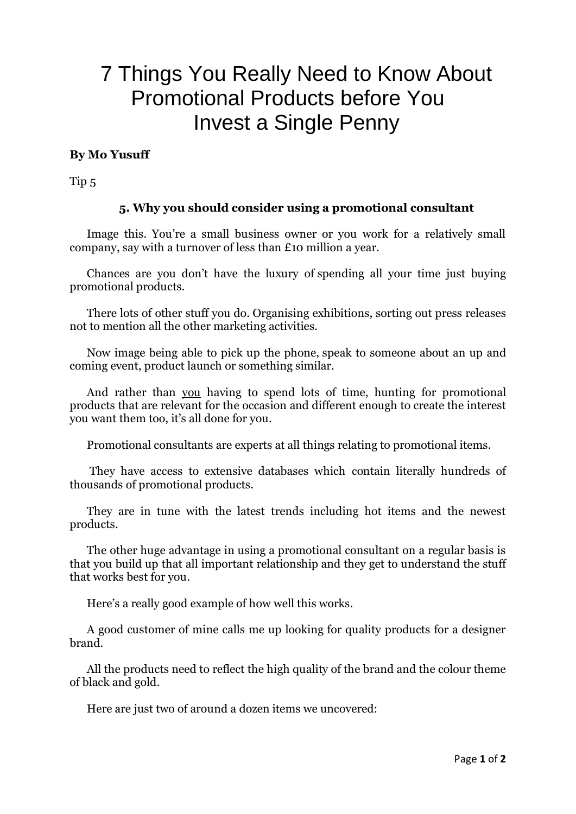## 7 Things You Really Need to Know About Promotional Products before You Invest a Single Penny

## **By Mo Yusuff**

Tip 5

## **5. Why you should consider using a promotional consultant**

Image this. You're a small business owner or you work for a relatively small company, say with a turnover of less than £10 million a year.

Chances are you don't have the luxury of spending all your time just buying promotional products.

There lots of other stuff you do. Organising exhibitions, sorting out press releases not to mention all the other marketing activities.

Now image being able to pick up the phone, speak to someone about an up and coming event, product launch or something similar.

And rather than you having to spend lots of time, hunting for promotional products that are relevant for the occasion and different enough to create the interest you want them too, it's all done for you.

Promotional consultants are experts at all things relating to promotional items.

They have access to extensive databases which contain literally hundreds of thousands of promotional products.

They are in tune with the latest trends including hot items and the newest products.

The other huge advantage in using a promotional consultant on a regular basis is that you build up that all important relationship and they get to understand the stuff that works best for you.

Here's a really good example of how well this works.

A good customer of mine calls me up looking for quality products for a designer brand.

All the products need to reflect the high quality of the brand and the colour theme of black and gold.

Here are just two of around a dozen items we uncovered: